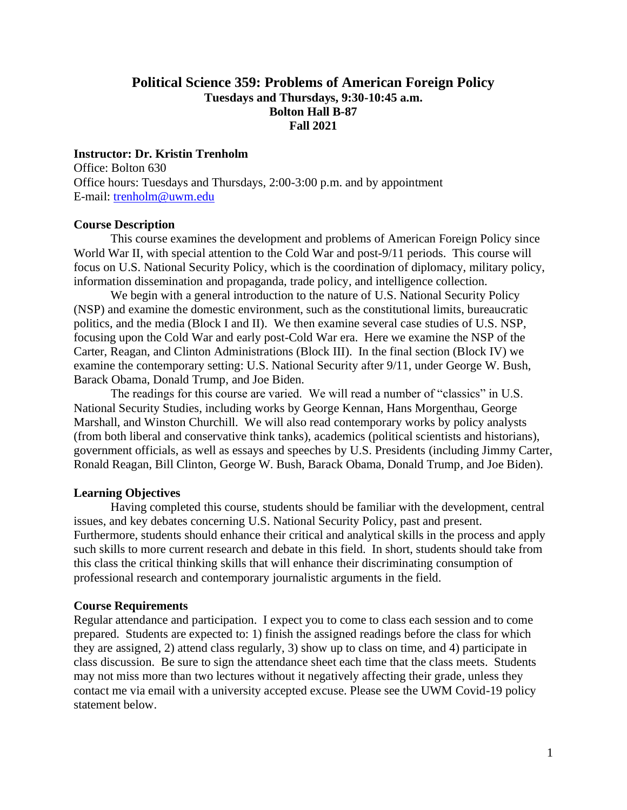# **Political Science 359: Problems of American Foreign Policy Tuesdays and Thursdays, 9:30-10:45 a.m. Bolton Hall B-87 Fall 2021**

#### **Instructor: Dr. Kristin Trenholm**

Office: Bolton 630 Office hours: Tuesdays and Thursdays, 2:00-3:00 p.m. and by appointment E-mail: [trenholm@uwm.edu](mailto:trenholm@uwm.edu)

#### **Course Description**

This course examines the development and problems of American Foreign Policy since World War II, with special attention to the Cold War and post-9/11 periods. This course will focus on U.S. National Security Policy, which is the coordination of diplomacy, military policy, information dissemination and propaganda, trade policy, and intelligence collection.

We begin with a general introduction to the nature of U.S. National Security Policy (NSP) and examine the domestic environment, such as the constitutional limits, bureaucratic politics, and the media (Block I and II). We then examine several case studies of U.S. NSP, focusing upon the Cold War and early post-Cold War era. Here we examine the NSP of the Carter, Reagan, and Clinton Administrations (Block III). In the final section (Block IV) we examine the contemporary setting: U.S. National Security after 9/11, under George W. Bush, Barack Obama, Donald Trump, and Joe Biden.

The readings for this course are varied. We will read a number of "classics" in U.S. National Security Studies, including works by George Kennan, Hans Morgenthau, George Marshall, and Winston Churchill. We will also read contemporary works by policy analysts (from both liberal and conservative think tanks), academics (political scientists and historians), government officials, as well as essays and speeches by U.S. Presidents (including Jimmy Carter, Ronald Reagan, Bill Clinton, George W. Bush, Barack Obama, Donald Trump, and Joe Biden).

#### **Learning Objectives**

Having completed this course, students should be familiar with the development, central issues, and key debates concerning U.S. National Security Policy, past and present. Furthermore, students should enhance their critical and analytical skills in the process and apply such skills to more current research and debate in this field. In short, students should take from this class the critical thinking skills that will enhance their discriminating consumption of professional research and contemporary journalistic arguments in the field.

#### **Course Requirements**

Regular attendance and participation. I expect you to come to class each session and to come prepared. Students are expected to: 1) finish the assigned readings before the class for which they are assigned, 2) attend class regularly, 3) show up to class on time, and 4) participate in class discussion. Be sure to sign the attendance sheet each time that the class meets. Students may not miss more than two lectures without it negatively affecting their grade, unless they contact me via email with a university accepted excuse. Please see the UWM Covid-19 policy statement below.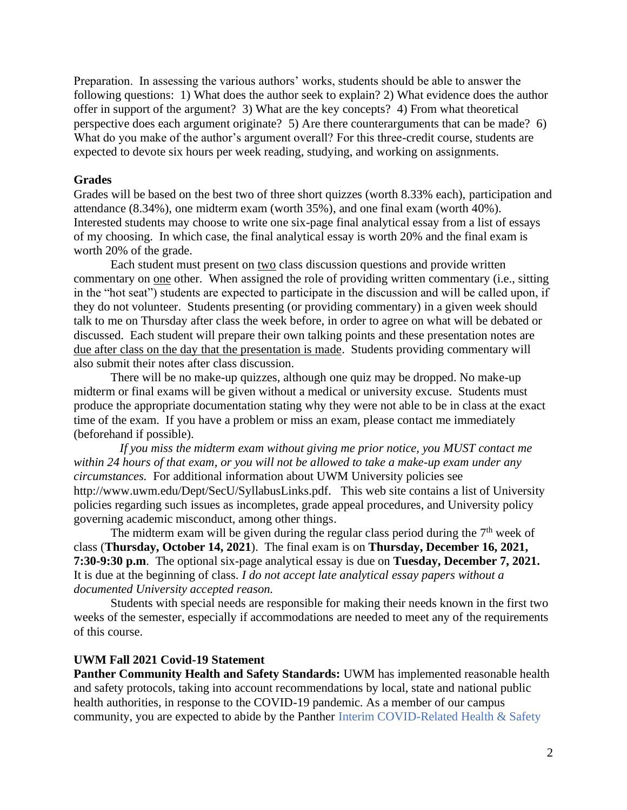Preparation. In assessing the various authors' works, students should be able to answer the following questions: 1) What does the author seek to explain? 2) What evidence does the author offer in support of the argument? 3) What are the key concepts? 4) From what theoretical perspective does each argument originate? 5) Are there counterarguments that can be made? 6) What do you make of the author's argument overall? For this three-credit course, students are expected to devote six hours per week reading, studying, and working on assignments.

#### **Grades**

Grades will be based on the best two of three short quizzes (worth 8.33% each), participation and attendance (8.34%), one midterm exam (worth 35%), and one final exam (worth 40%). Interested students may choose to write one six-page final analytical essay from a list of essays of my choosing. In which case, the final analytical essay is worth 20% and the final exam is worth 20% of the grade.

Each student must present on two class discussion questions and provide written commentary on one other. When assigned the role of providing written commentary (i.e., sitting in the "hot seat") students are expected to participate in the discussion and will be called upon, if they do not volunteer. Students presenting (or providing commentary) in a given week should talk to me on Thursday after class the week before, in order to agree on what will be debated or discussed. Each student will prepare their own talking points and these presentation notes are due after class on the day that the presentation is made. Students providing commentary will also submit their notes after class discussion.

 There will be no make-up quizzes, although one quiz may be dropped. No make-up midterm or final exams will be given without a medical or university excuse. Students must produce the appropriate documentation stating why they were not able to be in class at the exact time of the exam. If you have a problem or miss an exam, please contact me immediately (beforehand if possible).

*If you miss the midterm exam without giving me prior notice, you MUST contact me within 24 hours of that exam, or you will not be allowed to take a make-up exam under any circumstances.* For additional information about UWM University policies see http://www.uwm.edu/Dept/SecU/SyllabusLinks.pdf. This web site contains a list of University policies regarding such issues as incompletes, grade appeal procedures, and University policy governing academic misconduct, among other things.

The midterm exam will be given during the regular class period during the  $7<sup>th</sup>$  week of class (**Thursday, October 14, 2021**). The final exam is on **Thursday, December 16, 2021, 7:30-9:30 p.m**. The optional six-page analytical essay is due on **Tuesday, December 7, 2021.** It is due at the beginning of class. *I do not accept late analytical essay papers without a documented University accepted reason.*

Students with special needs are responsible for making their needs known in the first two weeks of the semester, especially if accommodations are needed to meet any of the requirements of this course.

### **UWM Fall 2021 Covid-19 Statement**

**Panther Community Health and Safety Standards:** UWM has implemented reasonable health and safety protocols, taking into account recommendations by local, state and national public health authorities, in response to the COVID-19 pandemic. As a member of our campus community, you are expected to abide by the Panther Interim COVID-Related Health & Safety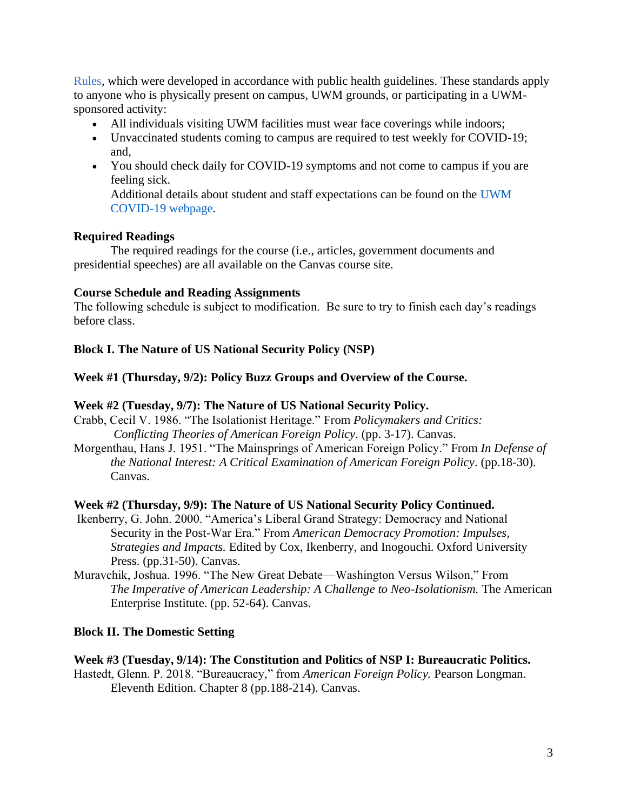Rules, which were developed in accordance with public health guidelines. These standards apply to anyone who is physically present on campus, UWM grounds, or participating in a UWMsponsored activity:

- All individuals visiting UWM facilities must wear face coverings while indoors;
- Unvaccinated students coming to campus are required to test weekly for COVID-19; and,
- You should check daily for COVID-19 symptoms and not come to campus if you are feeling sick. Additional details about student and staff expectations can be found on the UWM COVID-19 webpage.

## **Required Readings**

The required readings for the course (i.e., articles, government documents and presidential speeches) are all available on the Canvas course site.

## **Course Schedule and Reading Assignments**

The following schedule is subject to modification. Be sure to try to finish each day's readings before class.

# **Block I. The Nature of US National Security Policy (NSP)**

## **Week #1 (Thursday, 9/2): Policy Buzz Groups and Overview of the Course.**

### **Week #2 (Tuesday, 9/7): The Nature of US National Security Policy.**

- Crabb, Cecil V. 1986. "The Isolationist Heritage." From *Policymakers and Critics: Conflicting Theories of American Foreign Policy*. (pp. 3-17). Canvas.
- Morgenthau, Hans J. 1951. "The Mainsprings of American Foreign Policy." From *In Defense of the National Interest: A Critical Examination of American Foreign Policy*. (pp.18-30). Canvas.

### **Week #2 (Thursday, 9/9): The Nature of US National Security Policy Continued.**

- Ikenberry, G. John. 2000. "America's Liberal Grand Strategy: Democracy and National Security in the Post-War Era." From *American Democracy Promotion: Impulses, Strategies and Impacts.* Edited by Cox, Ikenberry, and Inogouchi. Oxford University Press. (pp.31-50). Canvas.
- Muravchik, Joshua. 1996. "The New Great Debate—Washington Versus Wilson," From *The Imperative of American Leadership: A Challenge to Neo-Isolationism.* The American Enterprise Institute. (pp. 52-64). Canvas.

### **Block II. The Domestic Setting**

### **Week #3 (Tuesday, 9/14): The Constitution and Politics of NSP I: Bureaucratic Politics.**

Hastedt, Glenn. P. 2018. "Bureaucracy," from *American Foreign Policy.* Pearson Longman. Eleventh Edition. Chapter 8 (pp.188-214). Canvas.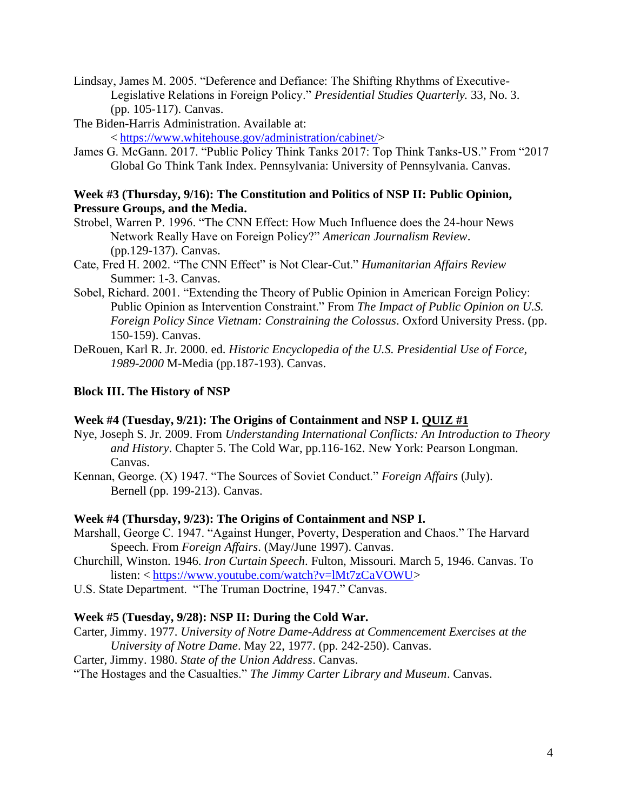Lindsay, James M. 2005. "Deference and Defiance: The Shifting Rhythms of Executive-Legislative Relations in Foreign Policy." *Presidential Studies Quarterly.* 33, No. 3. (pp. 105-117). Canvas.

The Biden-Harris Administration. Available at: < [https://www.whitehouse.gov/administration/cabinet/>](https://www.whitehouse.gov/administration/cabinet/)

James G. McGann. 2017. "Public Policy Think Tanks 2017: Top Think Tanks-US." From "2017 Global Go Think Tank Index. Pennsylvania: University of Pennsylvania. Canvas.

## **Week #3 (Thursday, 9/16): The Constitution and Politics of NSP II: Public Opinion, Pressure Groups, and the Media.**

- Strobel, Warren P. 1996. "The CNN Effect: How Much Influence does the 24-hour News Network Really Have on Foreign Policy?" *American Journalism Review*. (pp.129-137). Canvas.
- Cate, Fred H. 2002. "The CNN Effect" is Not Clear-Cut." *Humanitarian Affairs Review* Summer: 1-3. Canvas.
- Sobel, Richard. 2001. "Extending the Theory of Public Opinion in American Foreign Policy: Public Opinion as Intervention Constraint." From *The Impact of Public Opinion on U.S. Foreign Policy Since Vietnam: Constraining the Colossus*. Oxford University Press. (pp. 150-159). Canvas.
- DeRouen, Karl R. Jr. 2000. ed. *Historic Encyclopedia of the U.S. Presidential Use of Force, 1989-2000* M-Media (pp.187-193). Canvas.

# **Block III. The History of NSP**

# **Week #4 (Tuesday, 9/21): The Origins of Containment and NSP I. QUIZ #1**

- Nye, Joseph S. Jr. 2009. From *Understanding International Conflicts: An Introduction to Theory and History*. Chapter 5. The Cold War, pp.116-162. New York: Pearson Longman. Canvas.
- Kennan, George. (X) 1947. "The Sources of Soviet Conduct." *Foreign Affairs* (July). Bernell (pp. 199-213). Canvas.

### **Week #4 (Thursday, 9/23): The Origins of Containment and NSP I.**

- Marshall, George C. 1947. "Against Hunger, Poverty, Desperation and Chaos." The Harvard Speech. From *Foreign Affairs*. (May/June 1997). Canvas.
- Churchill, Winston. 1946. *Iron Curtain Speech*. Fulton, Missouri. March 5, 1946. Canvas. To listen: < [https://www.youtube.com/watch?v=lMt7zCaVOWU>](https://www.youtube.com/watch?v=lMt7zCaVOWU)
- U.S. State Department. "The Truman Doctrine, 1947." Canvas.

# **Week #5 (Tuesday, 9/28): NSP II: During the Cold War.**

- Carter, Jimmy. 1977. *University of Notre Dame-Address at Commencement Exercises at the University of Notre Dame*. May 22, 1977. (pp. 242-250). Canvas.
- Carter, Jimmy. 1980. *State of the Union Address*. Canvas.
- "The Hostages and the Casualties." *The Jimmy Carter Library and Museum*. Canvas.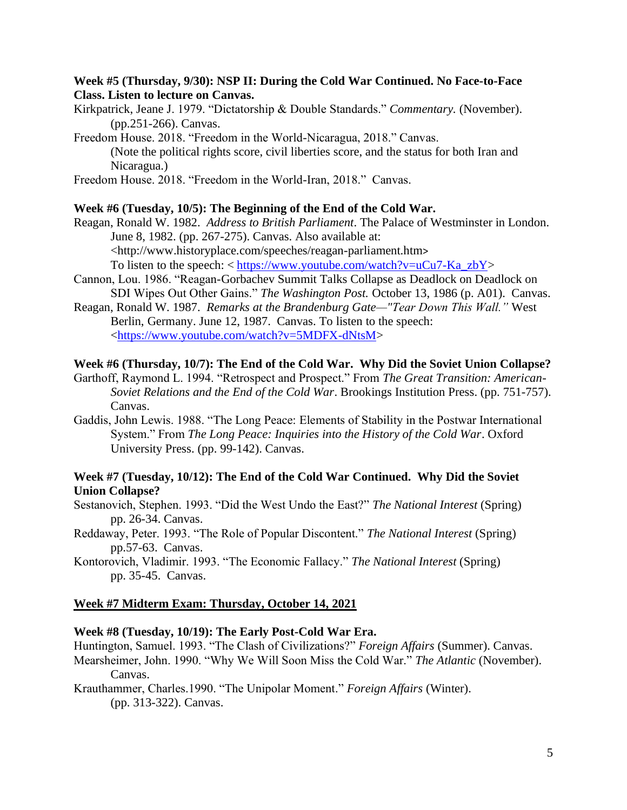### **Week #5 (Thursday, 9/30): NSP II: During the Cold War Continued. No Face-to-Face Class. Listen to lecture on Canvas.**

Kirkpatrick, Jeane J. 1979. "Dictatorship & Double Standards." *Commentary.* (November). (pp.251-266). Canvas.

Freedom House. 2018. "Freedom in the World-Nicaragua, 2018." Canvas. (Note the political rights score, civil liberties score, and the status for both Iran and Nicaragua.)

Freedom House. 2018. "Freedom in the World-Iran, 2018." Canvas.

#### **Week #6 (Tuesday, 10/5): The Beginning of the End of the Cold War.**

Reagan, Ronald W. 1982. *Address to British Parliament*. The Palace of Westminster in London. June 8, 1982. (pp. 267-275). Canvas. Also available at: [<http://www.historyplace.com/speeches/reagan-parliament.htm](http://www.historyplace.com/speeches/reagan-parliament.htm)> To listen to the speech:  $\langle \text{https://www.voutube.com/watch?v=uCu7-Ka_ZbY} \rangle$ 

- Cannon, Lou. 1986. "Reagan-Gorbachev Summit Talks Collapse as Deadlock on Deadlock on SDI Wipes Out Other Gains." *The Washington Post.* October 13, 1986 (p. A01). Canvas.
- Reagan, Ronald W. 1987. *Remarks at the Brandenburg Gate—"Tear Down This Wall."* West Berlin, Germany. June 12, 1987. Canvas. To listen to the speech: [<https://www.youtube.com/watch?v=5MDFX-dNtsM>](https://www.youtube.com/watch?v=5MDFX-dNtsM)

#### **Week #6 (Thursday, 10/7): The End of the Cold War. Why Did the Soviet Union Collapse?**

Garthoff, Raymond L. 1994. "Retrospect and Prospect." From *The Great Transition: American-Soviet Relations and the End of the Cold War*. Brookings Institution Press. (pp. 751-757). Canvas.

Gaddis, John Lewis. 1988. "The Long Peace: Elements of Stability in the Postwar International System." From *The Long Peace: Inquiries into the History of the Cold War*. Oxford University Press. (pp. 99-142). Canvas.

### **Week #7 (Tuesday, 10/12): The End of the Cold War Continued. Why Did the Soviet Union Collapse?**

Sestanovich, Stephen. 1993. "Did the West Undo the East?" *The National Interest* (Spring) pp. 26-34. Canvas.

Reddaway, Peter. 1993. "The Role of Popular Discontent." *The National Interest* (Spring) pp.57-63. Canvas.

Kontorovich, Vladimir. 1993. "The Economic Fallacy." *The National Interest* (Spring) pp. 35-45. Canvas.

#### **Week #7 Midterm Exam: Thursday, October 14, 2021**

#### **Week #8 (Tuesday, 10/19): The Early Post-Cold War Era.**

Huntington, Samuel. 1993. "The Clash of Civilizations?" *Foreign Affairs* (Summer). Canvas.

Mearsheimer, John. 1990. "Why We Will Soon Miss the Cold War." *The Atlantic* (November). Canvas.

Krauthammer, Charles.1990. "The Unipolar Moment." *Foreign Affairs* (Winter). (pp. 313-322). Canvas.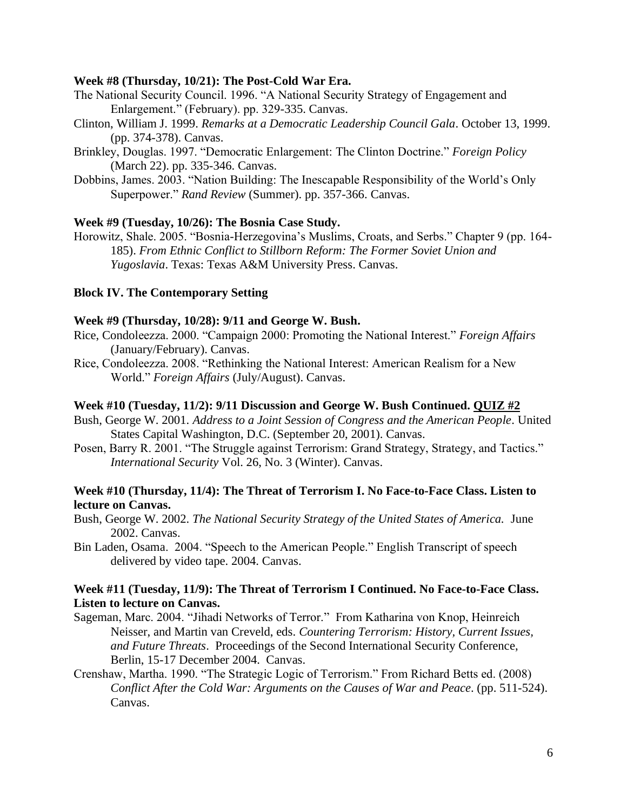#### **Week #8 (Thursday, 10/21): The Post-Cold War Era.**

- The National Security Council. 1996. "A National Security Strategy of Engagement and Enlargement." (February). pp. 329-335. Canvas.
- Clinton, William J. 1999. *Remarks at a Democratic Leadership Council Gala*. October 13, 1999. (pp. 374-378). Canvas.
- Brinkley, Douglas. 1997. "Democratic Enlargement: The Clinton Doctrine." *Foreign Policy* (March 22). pp. 335-346. Canvas.
- Dobbins, James. 2003. "Nation Building: The Inescapable Responsibility of the World's Only Superpower." *Rand Review* (Summer). pp. 357-366. Canvas.

### **Week #9 (Tuesday, 10/26): The Bosnia Case Study.**

Horowitz, Shale. 2005. "Bosnia-Herzegovina's Muslims, Croats, and Serbs." Chapter 9 (pp. 164- 185). *From Ethnic Conflict to Stillborn Reform: The Former Soviet Union and Yugoslavia*. Texas: Texas A&M University Press. Canvas.

## **Block IV. The Contemporary Setting**

### **Week #9 (Thursday, 10/28): 9/11 and George W. Bush.**

- Rice, Condoleezza. 2000. "Campaign 2000: Promoting the National Interest." *Foreign Affairs* (January/February). Canvas.
- Rice, Condoleezza. 2008. "Rethinking the National Interest: American Realism for a New World." *Foreign Affairs* (July/August). Canvas.

#### **Week #10 (Tuesday, 11/2): 9/11 Discussion and George W. Bush Continued. QUIZ #2**

- Bush, George W. 2001. *Address to a Joint Session of Congress and the American People*. United States Capital Washington, D.C. (September 20, 2001). Canvas.
- Posen, Barry R. 2001. "The Struggle against Terrorism: Grand Strategy, Strategy, and Tactics." *International Security* Vol. 26, No. 3 (Winter). Canvas.

### **Week #10 (Thursday, 11/4): The Threat of Terrorism I. No Face-to-Face Class. Listen to lecture on Canvas.**

- Bush, George W. 2002. *The National Security Strategy of the United States of America.* June 2002. Canvas.
- Bin Laden, Osama. 2004. "Speech to the American People." English Transcript of speech delivered by video tape. 2004. Canvas.

### **Week #11 (Tuesday, 11/9): The Threat of Terrorism I Continued. No Face-to-Face Class. Listen to lecture on Canvas.**

- Sageman, Marc. 2004. "Jihadi Networks of Terror." From Katharina von Knop, Heinreich Neisser, and Martin van Creveld, eds. *Countering Terrorism: History, Current Issues, and Future Threats*. Proceedings of the Second International Security Conference, Berlin, 15-17 December 2004. Canvas.
- Crenshaw, Martha. 1990. "The Strategic Logic of Terrorism." From Richard Betts ed. (2008) *Conflict After the Cold War: Arguments on the Causes of War and Peace*. (pp. 511-524). Canvas.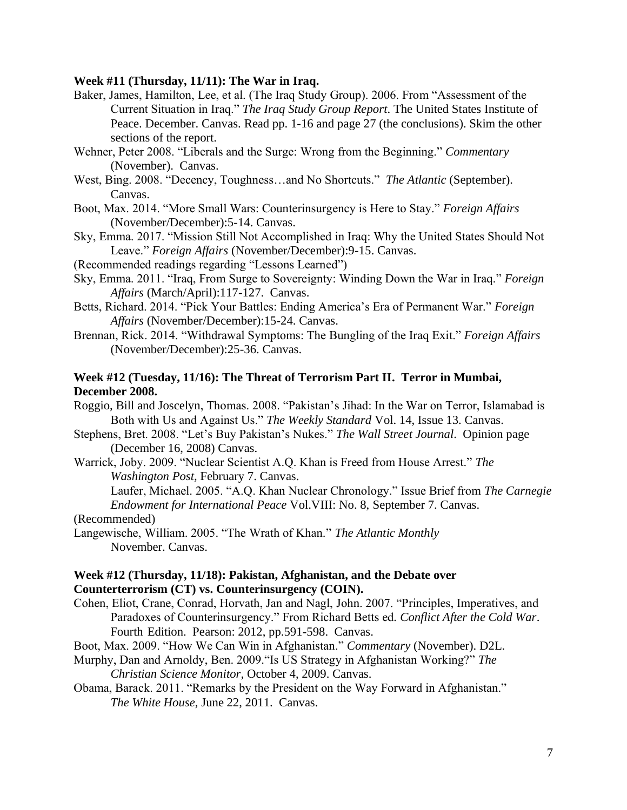### **Week #11 (Thursday, 11/11): The War in Iraq.**

- Baker, James, Hamilton, Lee, et al. (The Iraq Study Group). 2006. From "Assessment of the Current Situation in Iraq." *The Iraq Study Group Report*. The United States Institute of Peace. December. Canvas. Read pp. 1-16 and page 27 (the conclusions). Skim the other sections of the report.
- Wehner, Peter 2008. "Liberals and the Surge: Wrong from the Beginning." *Commentary* (November). Canvas.
- West, Bing. 2008. "Decency, Toughness…and No Shortcuts." *The Atlantic* (September). Canvas.
- Boot, Max. 2014. "More Small Wars: Counterinsurgency is Here to Stay." *Foreign Affairs* (November/December):5-14. Canvas.
- Sky, Emma. 2017. "Mission Still Not Accomplished in Iraq: Why the United States Should Not Leave." *Foreign Affairs* (November/December):9-15. Canvas.
- (Recommended readings regarding "Lessons Learned")
- Sky, Emma. 2011. "Iraq, From Surge to Sovereignty: Winding Down the War in Iraq." *Foreign Affairs* (March/April):117-127. Canvas.
- Betts, Richard. 2014. "Pick Your Battles: Ending America's Era of Permanent War." *Foreign Affairs* (November/December):15-24. Canvas.
- Brennan, Rick. 2014. "Withdrawal Symptoms: The Bungling of the Iraq Exit." *Foreign Affairs* (November/December):25-36. Canvas.

## **Week #12 (Tuesday, 11/16): The Threat of Terrorism Part II. Terror in Mumbai, December 2008.**

Roggio, Bill and Joscelyn, Thomas. 2008. "Pakistan's Jihad: In the War on Terror, Islamabad is Both with Us and Against Us." *The Weekly Standard* Vol. 14, Issue 13. Canvas.

- Stephens, Bret. 2008. "Let's Buy Pakistan's Nukes." *The Wall Street Journal*. Opinion page (December 16, 2008) Canvas.
- Warrick, Joby. 2009. "Nuclear Scientist A.Q. Khan is Freed from House Arrest." *The Washington Post,* February 7. Canvas.

Laufer, Michael. 2005. "A.Q. Khan Nuclear Chronology." Issue Brief from *The Carnegie Endowment for International Peace* Vol.VIII: No. 8, September 7. Canvas.

(Recommended)

Langewische, William. 2005. "The Wrath of Khan." *The Atlantic Monthly* November. Canvas.

### **Week #12 (Thursday, 11/18): Pakistan, Afghanistan, and the Debate over Counterterrorism (CT) vs. Counterinsurgency (COIN).**

- Cohen, Eliot, Crane, Conrad, Horvath, Jan and Nagl, John. 2007. "Principles, Imperatives, and Paradoxes of Counterinsurgency." From Richard Betts ed*. Conflict After the Cold War*. Fourth Edition. Pearson: 2012, pp.591-598. Canvas.
- Boot, Max. 2009. "How We Can Win in Afghanistan." *Commentary* (November). D2L.
- Murphy, Dan and Arnoldy, Ben. 2009."Is US Strategy in Afghanistan Working?" *The Christian Science Monitor,* October 4, 2009. Canvas.
- Obama, Barack. 2011. "Remarks by the President on the Way Forward in Afghanistan." *The White House*, June 22, 2011. Canvas.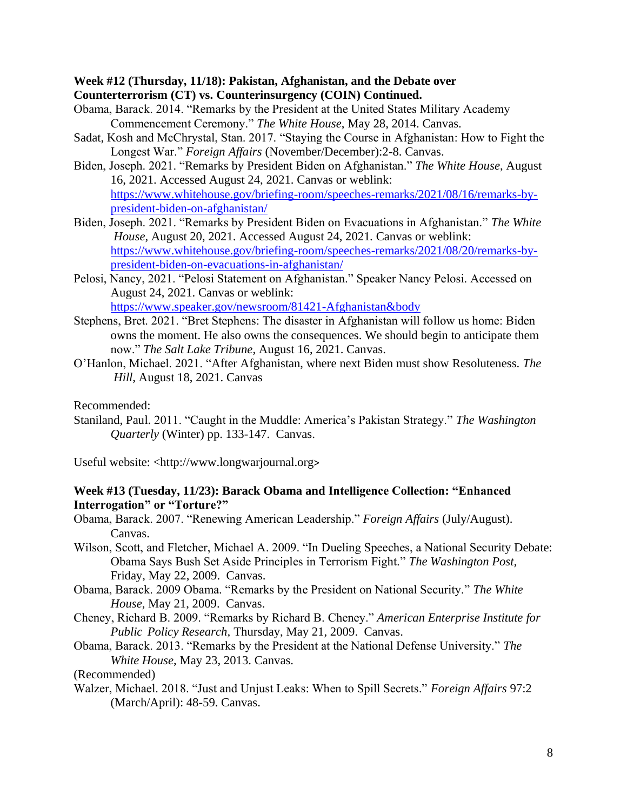### **Week #12 (Thursday, 11/18): Pakistan, Afghanistan, and the Debate over Counterterrorism (CT) vs. Counterinsurgency (COIN) Continued.**

- Obama, Barack. 2014. "Remarks by the President at the United States Military Academy Commencement Ceremony." *The White House*, May 28, 2014. Canvas.
- Sadat, Kosh and McChrystal, Stan. 2017. "Staying the Course in Afghanistan: How to Fight the Longest War." *Foreign Affairs* (November/December):2-8. Canvas.
- Biden, Joseph. 2021. "Remarks by President Biden on Afghanistan." *The White House*, August 16, 2021. Accessed August 24, 2021. Canvas or weblink: [https://www.whitehouse.gov/briefing-room/speeches-remarks/2021/08/16/remarks-by](https://www.whitehouse.gov/briefing-room/speeches-remarks/2021/08/16/remarks-by-president-biden-on-afghanistan/)[president-biden-on-afghanistan/](https://www.whitehouse.gov/briefing-room/speeches-remarks/2021/08/16/remarks-by-president-biden-on-afghanistan/)
- Biden, Joseph. 2021. "Remarks by President Biden on Evacuations in Afghanistan." *The White House*, August 20, 2021. Accessed August 24, 2021. Canvas or weblink: [https://www.whitehouse.gov/briefing-room/speeches-remarks/2021/08/20/remarks-by](https://www.whitehouse.gov/briefing-room/speeches-remarks/2021/08/20/remarks-by-president-biden-on-evacuations-in-afghanistan/)[president-biden-on-evacuations-in-afghanistan/](https://www.whitehouse.gov/briefing-room/speeches-remarks/2021/08/20/remarks-by-president-biden-on-evacuations-in-afghanistan/)
- Pelosi, Nancy, 2021. "Pelosi Statement on Afghanistan." Speaker Nancy Pelosi. Accessed on August 24, 2021. Canvas or weblink: <https://www.speaker.gov/newsroom/81421-Afghanistan&body>
- Stephens, Bret. 2021. "Bret Stephens: The disaster in Afghanistan will follow us home: Biden owns the moment. He also owns the consequences. We should begin to anticipate them now." *The Salt Lake Tribune*, August 16, 2021. Canvas.
- O'Hanlon, Michael. 2021. "After Afghanistan, where next Biden must show Resoluteness. *The Hill*, August 18, 2021. Canvas

Recommended:

Staniland, Paul. 2011. "Caught in the Muddle: America's Pakistan Strategy." *The Washington Quarterly* (Winter) pp. 133-147. Canvas.

Useful website: <http:/[/www.longwarjournal.org](http://www.longwarjournal.org/)>

## **Week #13 (Tuesday, 11/23): Barack Obama and Intelligence Collection: "Enhanced Interrogation" or "Torture?"**

Obama, Barack. 2007. "Renewing American Leadership." *Foreign Affairs* (July/August). Canvas.

- Wilson, Scott, and Fletcher, Michael A. 2009. "In Dueling Speeches, a National Security Debate: Obama Says Bush Set Aside Principles in Terrorism Fight." *The Washington Post,* Friday, May 22, 2009. Canvas.
- Obama, Barack. 2009 Obama. "Remarks by the President on National Security." *The White House*, May 21, 2009. Canvas.
- Cheney, Richard B. 2009. "Remarks by Richard B. Cheney." *American Enterprise Institute for Public Policy Research,* Thursday, May 21, 2009. Canvas.
- Obama, Barack. 2013. "Remarks by the President at the National Defense University." *The White House*, May 23, 2013. Canvas.

(Recommended)

Walzer, Michael. 2018. "Just and Unjust Leaks: When to Spill Secrets." *Foreign Affairs* 97:2 (March/April): 48-59. Canvas.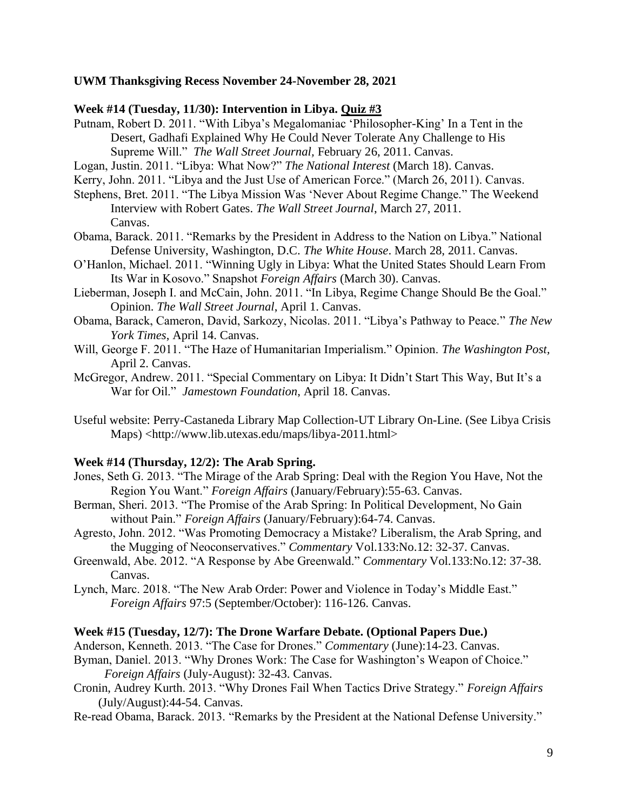### **UWM Thanksgiving Recess November 24-November 28, 2021**

#### **Week #14 (Tuesday, 11/30): Intervention in Libya. Quiz #3**

- Putnam, Robert D. 2011. "With Libya's Megalomaniac 'Philosopher-King' In a Tent in the Desert, Gadhafi Explained Why He Could Never Tolerate Any Challenge to His Supreme Will." *The Wall Street Journal,* February 26, 2011. Canvas.
- Logan, Justin. 2011. "Libya: What Now?" *The National Interest* (March 18). Canvas.
- Kerry, John. 2011. "Libya and the Just Use of American Force." (March 26, 2011). Canvas.
- Stephens, Bret. 2011. "The Libya Mission Was 'Never About Regime Change." The Weekend Interview with Robert Gates. *The Wall Street Journal*, March 27, 2011. Canvas.
- Obama, Barack. 2011. "Remarks by the President in Address to the Nation on Libya." National Defense University, Washington, D.C. *The White House*. March 28, 2011. Canvas.
- O'Hanlon, Michael. 2011. "Winning Ugly in Libya: What the United States Should Learn From Its War in Kosovo." Snapshot *Foreign Affairs* (March 30). Canvas.
- Lieberman, Joseph I. and McCain, John. 2011. "In Libya, Regime Change Should Be the Goal." Opinion. *The Wall Street Journal*, April 1. Canvas.
- Obama, Barack, Cameron, David, Sarkozy, Nicolas. 2011. "Libya's Pathway to Peace." *The New York Times*, April 14. Canvas.
- Will, George F. 2011. "The Haze of Humanitarian Imperialism." Opinion. *The Washington Post,*  April 2. Canvas.
- McGregor, Andrew. 2011. "Special Commentary on Libya: It Didn't Start This Way, But It's a War for Oil." *Jamestown Foundation*, April 18. Canvas.
- Useful website: Perry-Castaneda Library Map Collection-UT Library On-Line. (See Libya Crisis Maps) <http://www.lib.utexas.edu/maps/libya-2011.html>

#### **Week #14 (Thursday, 12/2): The Arab Spring.**

- Jones, Seth G. 2013. "The Mirage of the Arab Spring: Deal with the Region You Have, Not the Region You Want." *Foreign Affairs* (January/February):55-63. Canvas.
- Berman, Sheri. 2013. "The Promise of the Arab Spring: In Political Development, No Gain without Pain." *Foreign Affairs* (January/February):64-74. Canvas.
- Agresto, John. 2012. "Was Promoting Democracy a Mistake? Liberalism, the Arab Spring, and the Mugging of Neoconservatives." *Commentary* Vol.133:No.12: 32-37. Canvas.
- Greenwald, Abe. 2012. "A Response by Abe Greenwald." *Commentary* Vol.133:No.12: 37-38. Canvas.
- Lynch, Marc. 2018. "The New Arab Order: Power and Violence in Today's Middle East." *Foreign Affairs* 97:5 (September/October): 116-126. Canvas.

#### **Week #15 (Tuesday, 12/7): The Drone Warfare Debate. (Optional Papers Due.)**

- Anderson, Kenneth. 2013. "The Case for Drones." *Commentary* (June):14-23. Canvas.
- Byman, Daniel. 2013. "Why Drones Work: The Case for Washington's Weapon of Choice."  *Foreign Affairs* (July-August): 32-43. Canvas.
- Cronin, Audrey Kurth. 2013. "Why Drones Fail When Tactics Drive Strategy." *Foreign Affairs* (July/August):44-54. Canvas.
- Re-read Obama, Barack. 2013. "Remarks by the President at the National Defense University."